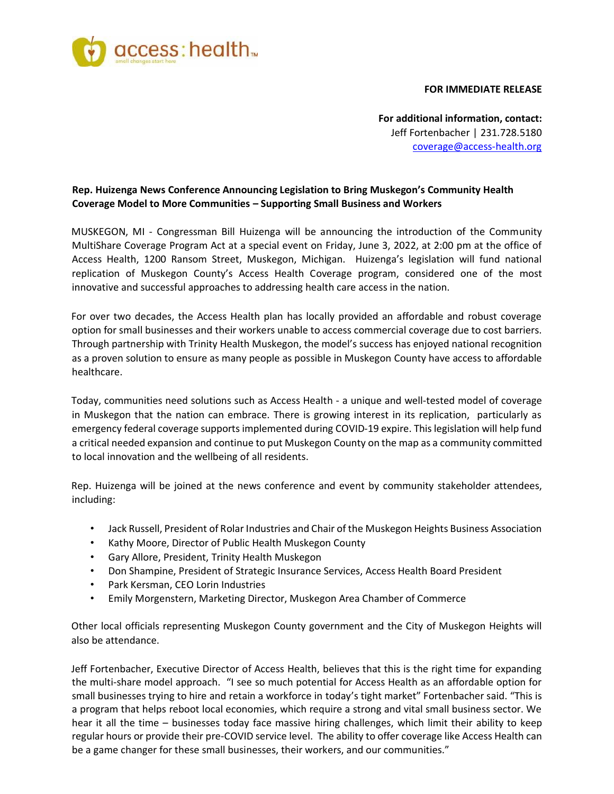

## **FOR IMMEDIATE RELEASE**

**For additional information, contact:**  Jeff Fortenbacher | 231.728.5180 coverage@access‐health.org

## **Rep. Huizenga News Conference Announcing Legislation to Bring Muskegon's Community Health Coverage Model to More Communities – Supporting Small Business and Workers**

MUSKEGON, MI ‐ Congressman Bill Huizenga will be announcing the introduction of the Community MultiShare Coverage Program Act at a special event on Friday, June 3, 2022, at 2:00 pm at the office of Access Health, 1200 Ransom Street, Muskegon, Michigan. Huizenga's legislation will fund national replication of Muskegon County's Access Health Coverage program, considered one of the most innovative and successful approaches to addressing health care access in the nation.

For over two decades, the Access Health plan has locally provided an affordable and robust coverage option for small businesses and their workers unable to access commercial coverage due to cost barriers. Through partnership with Trinity Health Muskegon, the model's success has enjoyed national recognition as a proven solution to ensure as many people as possible in Muskegon County have access to affordable healthcare.

Today, communities need solutions such as Access Health ‐ a unique and well‐tested model of coverage in Muskegon that the nation can embrace. There is growing interest in its replication, particularly as emergency federal coverage supports implemented during COVID‐19 expire. This legislation will help fund a critical needed expansion and continue to put Muskegon County on the map as a community committed to local innovation and the wellbeing of all residents.

Rep. Huizenga will be joined at the news conference and event by community stakeholder attendees, including:

- Jack Russell, President of Rolar Industries and Chair of the Muskegon Heights Business Association
- Kathy Moore, Director of Public Health Muskegon County
- Gary Allore, President, Trinity Health Muskegon
- Don Shampine, President of Strategic Insurance Services, Access Health Board President
- Park Kersman, CEO Lorin Industries
- Emily Morgenstern, Marketing Director, Muskegon Area Chamber of Commerce

Other local officials representing Muskegon County government and the City of Muskegon Heights will also be attendance.

Jeff Fortenbacher, Executive Director of Access Health, believes that this is the right time for expanding the multi‐share model approach. "I see so much potential for Access Health as an affordable option for small businesses trying to hire and retain a workforce in today's tight market" Fortenbacher said. "This is a program that helps reboot local economies, which require a strong and vital small business sector. We hear it all the time – businesses today face massive hiring challenges, which limit their ability to keep regular hours or provide their pre‐COVID service level. The ability to offer coverage like Access Health can be a game changer for these small businesses, their workers, and our communities."